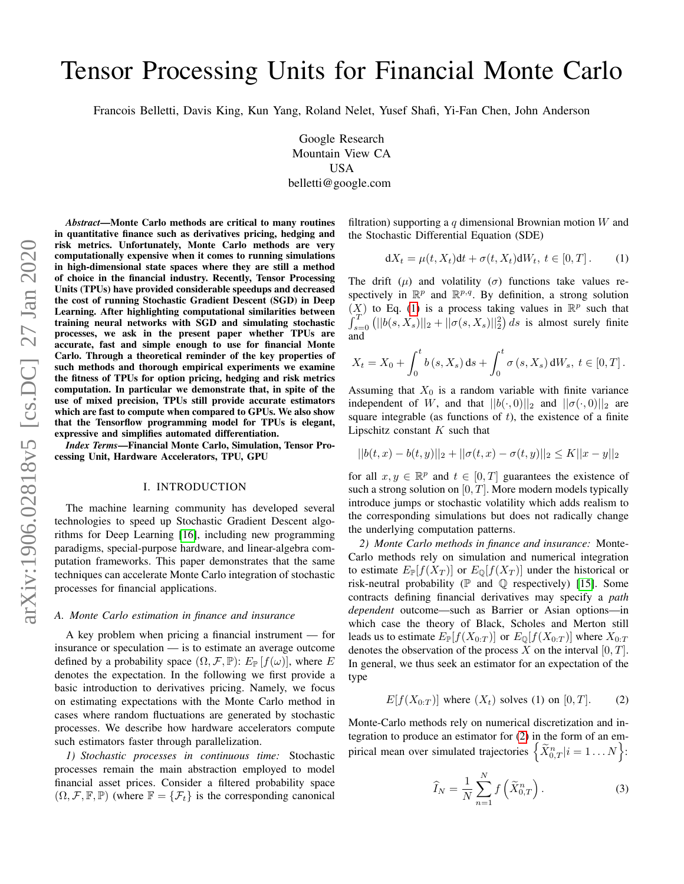# Tensor Processing Units for Financial Monte Carlo

Francois Belletti, Davis King, Kun Yang, Roland Nelet, Yusef Shafi, Yi-Fan Chen, John Anderson

Google Research Mountain View CA USA belletti@google.com

*Abstract*—Monte Carlo methods are critical to many routines in quantitative finance such as derivatives pricing, hedging and risk metrics. Unfortunately, Monte Carlo methods are very computationally expensive when it comes to running simulations in high-dimensional state spaces where they are still a method of choice in the financial industry. Recently, Tensor Processing Units (TPUs) have provided considerable speedups and decreased the cost of running Stochastic Gradient Descent (SGD) in Deep Learning. After highlighting computational similarities between training neural networks with SGD and simulating stochastic processes, we ask in the present paper whether TPUs are accurate, fast and simple enough to use for financial Monte Carlo. Through a theoretical reminder of the key properties of such methods and thorough empirical experiments we examine the fitness of TPUs for option pricing, hedging and risk metrics computation. In particular we demonstrate that, in spite of the use of mixed precision, TPUs still provide accurate estimators which are fast to compute when compared to GPUs. We also show that the Tensorflow programming model for TPUs is elegant, expressive and simplifies automated differentiation.

*Index Terms*—Financial Monte Carlo, Simulation, Tensor Processing Unit, Hardware Accelerators, TPU, GPU

## I. INTRODUCTION

The machine learning community has developed several technologies to speed up Stochastic Gradient Descent algorithms for Deep Learning [\[16\]](#page-9-0), including new programming paradigms, special-purpose hardware, and linear-algebra computation frameworks. This paper demonstrates that the same techniques can accelerate Monte Carlo integration of stochastic processes for financial applications.

#### *A. Monte Carlo estimation in finance and insurance*

A key problem when pricing a financial instrument — for insurance or speculation — is to estimate an average outcome defined by a probability space  $(\Omega, \mathcal{F}, \mathbb{P})$ :  $E_{\mathbb{P}}[f(\omega)]$ , where E denotes the expectation. In the following we first provide a basic introduction to derivatives pricing. Namely, we focus on estimating expectations with the Monte Carlo method in cases where random fluctuations are generated by stochastic processes. We describe how hardware accelerators compute such estimators faster through parallelization.

*1) Stochastic processes in continuous time:* Stochastic processes remain the main abstraction employed to model financial asset prices. Consider a filtered probability space  $(\Omega, \mathcal{F}, \mathbb{F}, \mathbb{P})$  (where  $\mathbb{F} = {\{\mathcal{F}_t\}}$  is the corresponding canonical filtration) supporting a q dimensional Brownian motion  $W$  and the Stochastic Differential Equation (SDE)

<span id="page-0-0"></span>
$$
dX_t = \mu(t, X_t)dt + \sigma(t, X_t)dW_t, t \in [0, T].
$$
 (1)

The drift  $(\mu)$  and volatility  $(\sigma)$  functions take values respectively in  $\mathbb{R}^p$  and  $\mathbb{R}^{p,q}$ . By definition, a strong solution  $(X)$  to Eq. [\(1\)](#page-0-0) is a process taking values in  $\mathbb{R}^p$  such that  $\int_{s=0}^{T'} (||b(s, X_s)||_2 + ||\sigma(s, X_s)||_2^2) ds$  is almost surely finite and

$$
X_t = X_0 + \int_0^t b(s, X_s) \, ds + \int_0^t \sigma(s, X_s) \, dW_s, \ t \in [0, T].
$$

Assuming that  $X_0$  is a random variable with finite variance independent of W, and that  $||b(\cdot, 0)||_2$  and  $||\sigma(\cdot, 0)||_2$  are square integrable (as functions of  $t$ ), the existence of a finite Lipschitz constant  $K$  such that

$$
||b(t,x) - b(t,y)||_2 + ||\sigma(t,x) - \sigma(t,y)||_2 \le K||x - y||_2
$$

for all  $x, y \in \mathbb{R}^p$  and  $t \in [0, T]$  guarantees the existence of such a strong solution on  $[0, T]$ . More modern models typically introduce jumps or stochastic volatility which adds realism to the corresponding simulations but does not radically change the underlying computation patterns.

*2) Monte Carlo methods in finance and insurance:* Monte-Carlo methods rely on simulation and numerical integration to estimate  $E_{\mathbb{P}}[f(X_T)]$  or  $E_{\mathbb{Q}}[f(X_T)]$  under the historical or risk-neutral probability ( $\mathbb P$  and  $\mathbb Q$  respectively) [\[15\]](#page-9-1). Some contracts defining financial derivatives may specify a *path dependent* outcome—such as Barrier or Asian options—in which case the theory of Black, Scholes and Merton still leads us to estimate  $E_{\mathbb{P}}[f(X_{0:T})]$  or  $E_{\mathbb{Q}}[f(X_{0:T})]$  where  $X_{0:T}$ denotes the observation of the process  $X$  on the interval  $[0, T]$ . In general, we thus seek an estimator for an expectation of the type

<span id="page-0-1"></span>
$$
E[f(X_{0:T})]
$$
 where  $(X_t)$  solves (1) on [0, T]. (2)

Monte-Carlo methods rely on numerical discretization and integration to produce an estimator for [\(2\)](#page-0-1) in the form of an empirical mean over simulated trajectories  $\left\{ \widetilde{X}_{0,T}^n | i = 1 \dots N \right\}$ :

<span id="page-0-2"></span>
$$
\widehat{I}_N = \frac{1}{N} \sum_{n=1}^N f\left(\widetilde{X}_{0,T}^n\right). \tag{3}
$$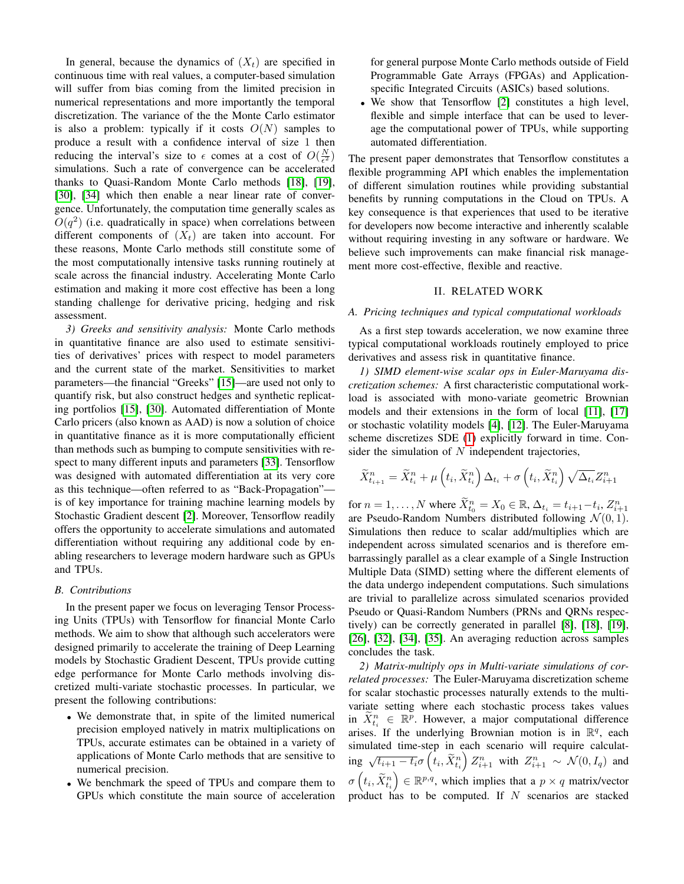In general, because the dynamics of  $(X_t)$  are specified in continuous time with real values, a computer-based simulation will suffer from bias coming from the limited precision in numerical representations and more importantly the temporal discretization. The variance of the the Monte Carlo estimator is also a problem: typically if it costs  $O(N)$  samples to produce a result with a confidence interval of size 1 then reducing the interval's size to  $\epsilon$  comes at a cost of  $O(\frac{N}{\epsilon^2})$ simulations. Such a rate of convergence can be accelerated thanks to Quasi-Random Monte Carlo methods [\[18\]](#page-9-2), [\[19\]](#page-9-3), [\[30\]](#page-9-4), [\[34\]](#page-9-5) which then enable a near linear rate of convergence. Unfortunately, the computation time generally scales as  $O(q^2)$  (i.e. quadratically in space) when correlations between different components of  $(X_t)$  are taken into account. For these reasons, Monte Carlo methods still constitute some of the most computationally intensive tasks running routinely at scale across the financial industry. Accelerating Monte Carlo estimation and making it more cost effective has been a long standing challenge for derivative pricing, hedging and risk assessment.

*3) Greeks and sensitivity analysis:* Monte Carlo methods in quantitative finance are also used to estimate sensitivities of derivatives' prices with respect to model parameters and the current state of the market. Sensitivities to market parameters—the financial "Greeks" [\[15\]](#page-9-1)—are used not only to quantify risk, but also construct hedges and synthetic replicating portfolios [\[15\]](#page-9-1), [\[30\]](#page-9-4). Automated differentiation of Monte Carlo pricers (also known as AAD) is now a solution of choice in quantitative finance as it is more computationally efficient than methods such as bumping to compute sensitivities with respect to many different inputs and parameters [\[33\]](#page-9-6). Tensorflow was designed with automated differentiation at its very core as this technique—often referred to as "Back-Propagation" is of key importance for training machine learning models by Stochastic Gradient descent [\[2\]](#page-9-7). Moreover, Tensorflow readily offers the opportunity to accelerate simulations and automated differentiation without requiring any additional code by enabling researchers to leverage modern hardware such as GPUs and TPUs.

# *B. Contributions*

In the present paper we focus on leveraging Tensor Processing Units (TPUs) with Tensorflow for financial Monte Carlo methods. We aim to show that although such accelerators were designed primarily to accelerate the training of Deep Learning models by Stochastic Gradient Descent, TPUs provide cutting edge performance for Monte Carlo methods involving discretized multi-variate stochastic processes. In particular, we present the following contributions:

- We demonstrate that, in spite of the limited numerical precision employed natively in matrix multiplications on TPUs, accurate estimates can be obtained in a variety of applications of Monte Carlo methods that are sensitive to numerical precision.
- We benchmark the speed of TPUs and compare them to GPUs which constitute the main source of acceleration

for general purpose Monte Carlo methods outside of Field Programmable Gate Arrays (FPGAs) and Applicationspecific Integrated Circuits (ASICs) based solutions.

• We show that Tensorflow [\[2\]](#page-9-7) constitutes a high level, flexible and simple interface that can be used to leverage the computational power of TPUs, while supporting automated differentiation.

The present paper demonstrates that Tensorflow constitutes a flexible programming API which enables the implementation of different simulation routines while providing substantial benefits by running computations in the Cloud on TPUs. A key consequence is that experiences that used to be iterative for developers now become interactive and inherently scalable without requiring investing in any software or hardware. We believe such improvements can make financial risk management more cost-effective, flexible and reactive.

## II. RELATED WORK

# *A. Pricing techniques and typical computational workloads*

As a first step towards acceleration, we now examine three typical computational workloads routinely employed to price derivatives and assess risk in quantitative finance.

*1) SIMD element-wise scalar ops in Euler-Maruyama discretization schemes:* A first characteristic computational workload is associated with mono-variate geometric Brownian models and their extensions in the form of local [\[11\]](#page-9-8), [\[17\]](#page-9-9) or stochastic volatility models [\[4\]](#page-9-10), [\[12\]](#page-9-11). The Euler-Maruyama scheme discretizes SDE [\(1\)](#page-0-0) explicitly forward in time. Consider the simulation of  $N$  independent trajectories,

$$
\widetilde{X}_{t_{i+1}}^n = \widetilde{X}_{t_i}^n + \mu\left(t_i, \widetilde{X}_{t_i}^n\right) \Delta_{t_i} + \sigma\left(t_i, \widetilde{X}_{t_i}^n\right) \sqrt{\Delta_{t_i}} Z_{i+1}^n
$$

for  $n = 1, ..., N$  where  $\widetilde{X}_{t_0}^n = X_0 \in \mathbb{R}$ ,  $\Delta_{t_i} = t_{i+1} - t_i$ ,  $Z_{i+1}^n$  are Pseudo-Random Numbers distributed following  $\mathcal{N}(0, 1)$ . Simulations then reduce to scalar add/multiplies which are independent across simulated scenarios and is therefore embarrassingly parallel as a clear example of a Single Instruction Multiple Data (SIMD) setting where the different elements of the data undergo independent computations. Such simulations are trivial to parallelize across simulated scenarios provided Pseudo or Quasi-Random Numbers (PRNs and QRNs respectively) can be correctly generated in parallel [\[8\]](#page-9-12), [\[18\]](#page-9-2), [\[19\]](#page-9-3), [\[26\]](#page-9-13), [\[32\]](#page-9-14), [\[34\]](#page-9-5), [\[35\]](#page-9-15). An averaging reduction across samples concludes the task.

*2) Matrix-multiply ops in Multi-variate simulations of correlated processes:* The Euler-Maruyama discretization scheme for scalar stochastic processes naturally extends to the multivariate setting where each stochastic process takes values in  $\widetilde{X}_{t_i}^n \in \mathbb{R}^p$ . However, a major computational difference arises. If the underlying Brownian motion is in  $\mathbb{R}^q$ , each simulated time-step in each scenario will require calculating  $\sqrt{t_{i+1} - t_i} \sigma\left(t_i, \tilde{X}_{t_i}^n\right) Z_{i+1}^n$  with  $Z_{i+1}^n \sim \mathcal{N}(0, I_q)$  and  $\sigma\left(t_i, \tilde{X}_{t_i}^n\right) \in \mathbb{R}^{p,q}$ , which implies that a  $p \times q$  matrix/vector product has to be computed. If  $N$  scenarios are stacked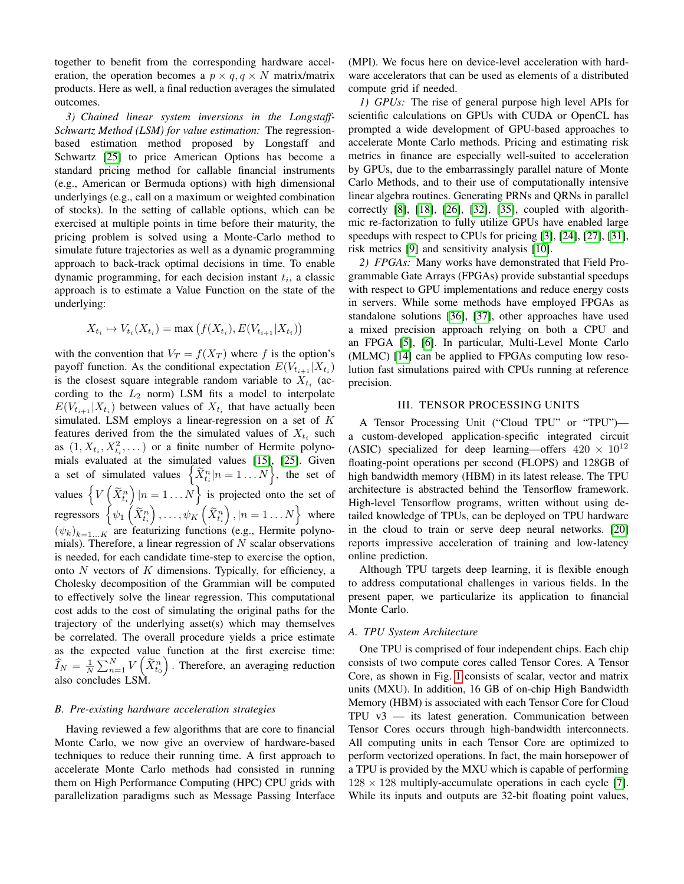together to benefit from the corresponding hardware acceleration, the operation becomes a  $p \times q$ ,  $q \times N$  matrix/matrix products. Here as well, a final reduction averages the simulated outcomes.

<span id="page-2-0"></span>*3) Chained linear system inversions in the Longstaff-Schwartz Method (LSM) for value estimation:* The regressionbased estimation method proposed by Longstaff and Schwartz [\[25\]](#page-9-16) to price American Options has become a standard pricing method for callable financial instruments (e.g., American or Bermuda options) with high dimensional underlyings (e.g., call on a maximum or weighted combination of stocks). In the setting of callable options, which can be exercised at multiple points in time before their maturity, the pricing problem is solved using a Monte-Carlo method to simulate future trajectories as well as a dynamic programming approach to back-track optimal decisions in time. To enable dynamic programming, for each decision instant  $t_i$ , a classic approach is to estimate a Value Function on the state of the underlying:

$$
X_{t_i} \mapsto V_{t_i}(X_{t_i}) = \max (f(X_{t_i}), E(V_{t_{i+1}} | X_{t_i}))
$$

with the convention that  $V_T = f(X_T)$  where f is the option's payoff function. As the conditional expectation  $E(V_{t_{i+1}} | X_{t_i})$ is the closest square integrable random variable to  $X_{t_i}$  (according to the  $L_2$  norm) LSM fits a model to interpolate  $E(V_{t_{i+1}} | X_{t_i})$  between values of  $X_{t_i}$  that have actually been simulated. LSM employs a linear-regression on a set of  $K$ features derived from the the simulated values of  $X_{t_i}$  such as  $(1, X_{t_i}, X_{t_i}^2, \dots)$  or a finite number of Hermite polynoas  $(1, \Lambda_{t_i}, \Lambda_{t_i}, \dots)$  or a mille number of Hermite polynomials evaluated at the simulated values [\[15\]](#page-9-1), [\[25\]](#page-9-16). Given a set of simulated values  $\left\{ \widetilde{X}_{t_i}^n | n = 1...N \right\}$ , the set of values  $\left\{V\left(\tilde{X}_{t_i}^n\right)|n=1...N\right\}$  is projected onto the set of regressors  $\left\{\psi_1\left(\widetilde{X}_{t_i}^n\right),\ldots,\psi_K\left(\widetilde{X}_{t_i}^n\right),|n=1\ldots N\right\}$  where  $(\psi_k)_{k=1...K}$  are featurizing functions (e.g., Hermite polynomials). Therefore, a linear regression of  $N$  scalar observations is needed, for each candidate time-step to exercise the option, onto  $N$  vectors of  $K$  dimensions. Typically, for efficiency, a Cholesky decomposition of the Grammian will be computed to effectively solve the linear regression. This computational cost adds to the cost of simulating the original paths for the trajectory of the underlying asset(s) which may themselves be correlated. The overall procedure yields a price estimate as the expected value function at the first exercise time:  $\widehat{I}_N = \frac{1}{N} \sum_{n=1}^N V\left(\widetilde{X}_{t_0}^n\right)$ . Therefore, an averaging reduction also concludes LSM.

## *B. Pre-existing hardware acceleration strategies*

Having reviewed a few algorithms that are core to financial Monte Carlo, we now give an overview of hardware-based techniques to reduce their running time. A first approach to accelerate Monte Carlo methods had consisted in running them on High Performance Computing (HPC) CPU grids with parallelization paradigms such as Message Passing Interface (MPI). We focus here on device-level acceleration with hardware accelerators that can be used as elements of a distributed compute grid if needed.

*1) GPUs:* The rise of general purpose high level APIs for scientific calculations on GPUs with CUDA or OpenCL has prompted a wide development of GPU-based approaches to accelerate Monte Carlo methods. Pricing and estimating risk metrics in finance are especially well-suited to acceleration by GPUs, due to the embarrassingly parallel nature of Monte Carlo Methods, and to their use of computationally intensive linear algebra routines. Generating PRNs and QRNs in parallel correctly [\[8\]](#page-9-12), [\[18\]](#page-9-2), [\[26\]](#page-9-13), [\[32\]](#page-9-14), [\[35\]](#page-9-15), coupled with algorithmic re-factorization to fully utilize GPUs have enabled large speedups with respect to CPUs for pricing [\[3\]](#page-9-17), [\[24\]](#page-9-18), [\[27\]](#page-9-19), [\[31\]](#page-9-20), risk metrics [\[9\]](#page-9-21) and sensitivity analysis [\[10\]](#page-9-22).

*2) FPGAs:* Many works have demonstrated that Field Programmable Gate Arrays (FPGAs) provide substantial speedups with respect to GPU implementations and reduce energy costs in servers. While some methods have employed FPGAs as standalone solutions [\[36\]](#page-9-23), [\[37\]](#page-9-24), other approaches have used a mixed precision approach relying on both a CPU and an FPGA [\[5\]](#page-9-25), [\[6\]](#page-9-26). In particular, Multi-Level Monte Carlo (MLMC) [\[14\]](#page-9-27) can be applied to FPGAs computing low resolution fast simulations paired with CPUs running at reference precision.

## III. TENSOR PROCESSING UNITS

A Tensor Processing Unit ("Cloud TPU" or "TPU") a custom-developed application-specific integrated circuit (ASIC) specialized for deep learning—offers  $420 \times 10^{12}$ floating-point operations per second (FLOPS) and 128GB of high bandwidth memory (HBM) in its latest release. The TPU architecture is abstracted behind the Tensorflow framework. High-level Tensorflow programs, written without using detailed knowledge of TPUs, can be deployed on TPU hardware in the cloud to train or serve deep neural networks. [\[20\]](#page-9-28) reports impressive acceleration of training and low-latency online prediction.

Although TPU targets deep learning, it is flexible enough to address computational challenges in various fields. In the present paper, we particularize its application to financial Monte Carlo.

# *A. TPU System Architecture*

One TPU is comprised of four independent chips. Each chip consists of two compute cores called Tensor Cores. A Tensor Core, as shown in Fig. [1](#page-3-0) consists of scalar, vector and matrix units (MXU). In addition, 16 GB of on-chip High Bandwidth Memory (HBM) is associated with each Tensor Core for Cloud  $TPU$  v3 — its latest generation. Communication between Tensor Cores occurs through high-bandwidth interconnects. All computing units in each Tensor Core are optimized to perform vectorized operations. In fact, the main horsepower of a TPU is provided by the MXU which is capable of performing  $128 \times 128$  multiply-accumulate operations in each cycle [\[7\]](#page-9-29). While its inputs and outputs are 32-bit floating point values,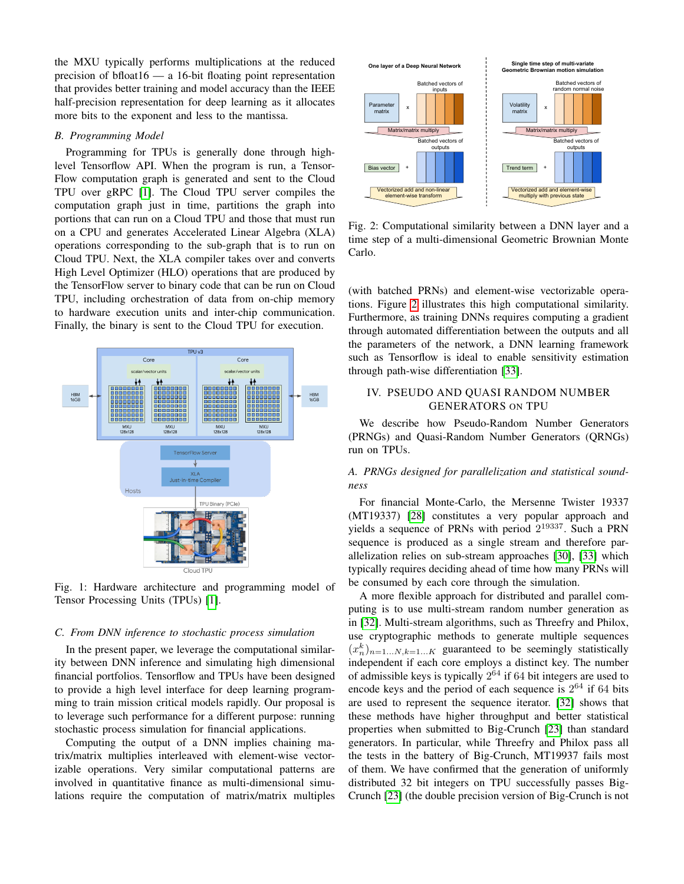the MXU typically performs multiplications at the reduced precision of bfloat16 — a 16-bit floating point representation that provides better training and model accuracy than the IEEE half-precision representation for deep learning as it allocates more bits to the exponent and less to the mantissa.

# *B. Programming Model*

Programming for TPUs is generally done through highlevel Tensorflow API. When the program is run, a Tensor-Flow computation graph is generated and sent to the Cloud TPU over gRPC [\[1\]](#page-9-30). The Cloud TPU server compiles the computation graph just in time, partitions the graph into portions that can run on a Cloud TPU and those that must run on a CPU and generates Accelerated Linear Algebra (XLA) operations corresponding to the sub-graph that is to run on Cloud TPU. Next, the XLA compiler takes over and converts High Level Optimizer (HLO) operations that are produced by the TensorFlow server to binary code that can be run on Cloud TPU, including orchestration of data from on-chip memory to hardware execution units and inter-chip communication. Finally, the binary is sent to the Cloud TPU for execution.

<span id="page-3-0"></span>

Fig. 1: Hardware architecture and programming model of Tensor Processing Units (TPUs) [\[1\]](#page-9-30).

## *C. From DNN inference to stochastic process simulation*

In the present paper, we leverage the computational similarity between DNN inference and simulating high dimensional financial portfolios. Tensorflow and TPUs have been designed to provide a high level interface for deep learning programming to train mission critical models rapidly. Our proposal is to leverage such performance for a different purpose: running stochastic process simulation for financial applications.

Computing the output of a DNN implies chaining matrix/matrix multiplies interleaved with element-wise vectorizable operations. Very similar computational patterns are involved in quantitative finance as multi-dimensional simulations require the computation of matrix/matrix multiples

<span id="page-3-1"></span>

Fig. 2: Computational similarity between a DNN layer and a time step of a multi-dimensional Geometric Brownian Monte Carlo.

(with batched PRNs) and element-wise vectorizable operations. Figure [2](#page-3-1) illustrates this high computational similarity. Furthermore, as training DNNs requires computing a gradient through automated differentiation between the outputs and all the parameters of the network, a DNN learning framework such as Tensorflow is ideal to enable sensitivity estimation through path-wise differentiation [\[33\]](#page-9-6).

# IV. PSEUDO AND QUASI RANDOM NUMBER GENERATORS ON TPU

We describe how Pseudo-Random Number Generators (PRNGs) and Quasi-Random Number Generators (QRNGs) run on TPUs.

# *A. PRNGs designed for parallelization and statistical soundness*

For financial Monte-Carlo, the Mersenne Twister 19337 (MT19337) [\[28\]](#page-9-31) constitutes a very popular approach and yields a sequence of PRNs with period  $2^{19337}$ . Such a PRN sequence is produced as a single stream and therefore parallelization relies on sub-stream approaches [\[30\]](#page-9-4), [\[33\]](#page-9-6) which typically requires deciding ahead of time how many PRNs will be consumed by each core through the simulation.

A more flexible approach for distributed and parallel computing is to use multi-stream random number generation as in [\[32\]](#page-9-14). Multi-stream algorithms, such as Threefry and Philox, use cryptographic methods to generate multiple sequences  $(x_n^k)_{n=1...N, k=1...K}$  guaranteed to be seemingly statistically independent if each core employs a distinct key. The number of admissible keys is typically  $2^{64}$  if 64 bit integers are used to encode keys and the period of each sequence is  $2^{64}$  if 64 bits are used to represent the sequence iterator. [\[32\]](#page-9-14) shows that these methods have higher throughput and better statistical properties when submitted to Big-Crunch [\[23\]](#page-9-32) than standard generators. In particular, while Threefry and Philox pass all the tests in the battery of Big-Crunch, MT19937 fails most of them. We have confirmed that the generation of uniformly distributed 32 bit integers on TPU successfully passes Big-Crunch [\[23\]](#page-9-32) (the double precision version of Big-Crunch is not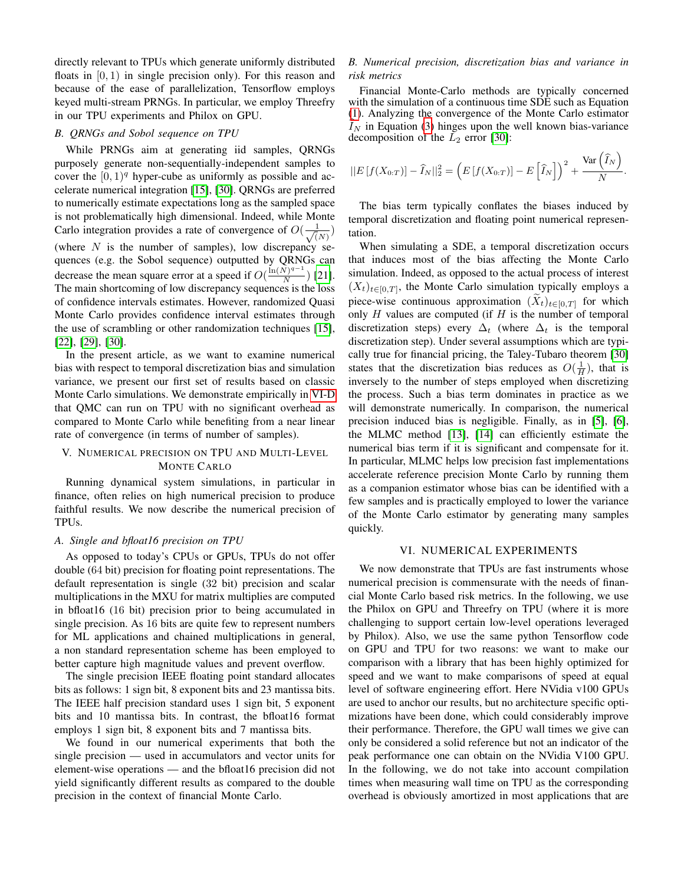directly relevant to TPUs which generate uniformly distributed floats in  $[0, 1)$  in single precision only). For this reason and because of the ease of parallelization, Tensorflow employs keyed multi-stream PRNGs. In particular, we employ Threefry in our TPU experiments and Philox on GPU.

## *B. QRNGs and Sobol sequence on TPU*

While PRNGs aim at generating iid samples, QRNGs purposely generate non-sequentially-independent samples to cover the  $[0, 1]^q$  hyper-cube as uniformly as possible and accelerate numerical integration [\[15\]](#page-9-1), [\[30\]](#page-9-4). QRNGs are preferred to numerically estimate expectations long as the sampled space is not problematically high dimensional. Indeed, while Monte Carlo integration provides a rate of convergence of  $O(\frac{1}{\sqrt{6}})$  $\frac{1}{(N)}$ (where  $N$  is the number of samples), low discrepancy sequences (e.g. the Sobol sequence) outputted by QRNGs can decrease the mean square error at a speed if  $O(\frac{\ln(N)^{q-1}}{N})$  $\frac{N}{N}$ ) [\[21\]](#page-9-33). The main shortcoming of low discrepancy sequences is the loss of confidence intervals estimates. However, randomized Quasi Monte Carlo provides confidence interval estimates through the use of scrambling or other randomization techniques [\[15\]](#page-9-1), [\[22\]](#page-9-34), [\[29\]](#page-9-35), [\[30\]](#page-9-4).

In the present article, as we want to examine numerical bias with respect to temporal discretization bias and simulation variance, we present our first set of results based on classic Monte Carlo simulations. We demonstrate empirically in [VI-D](#page-7-0) that QMC can run on TPU with no significant overhead as compared to Monte Carlo while benefiting from a near linear rate of convergence (in terms of number of samples).

# V. NUMERICAL PRECISION ON TPU AND MULTI-LEVEL MONTE CARLO

Running dynamical system simulations, in particular in finance, often relies on high numerical precision to produce faithful results. We now describe the numerical precision of TPUs.

## *A. Single and bfloat16 precision on TPU*

As opposed to today's CPUs or GPUs, TPUs do not offer double (64 bit) precision for floating point representations. The default representation is single (32 bit) precision and scalar multiplications in the MXU for matrix multiplies are computed in bfloat16 (16 bit) precision prior to being accumulated in single precision. As 16 bits are quite few to represent numbers for ML applications and chained multiplications in general, a non standard representation scheme has been employed to better capture high magnitude values and prevent overflow.

The single precision IEEE floating point standard allocates bits as follows: 1 sign bit, 8 exponent bits and 23 mantissa bits. The IEEE half precision standard uses 1 sign bit, 5 exponent bits and 10 mantissa bits. In contrast, the bfloat16 format employs 1 sign bit, 8 exponent bits and 7 mantissa bits.

We found in our numerical experiments that both the single precision — used in accumulators and vector units for element-wise operations — and the bfloat16 precision did not yield significantly different results as compared to the double precision in the context of financial Monte Carlo.

# *B. Numerical precision, discretization bias and variance in risk metrics*

Financial Monte-Carlo methods are typically concerned with the simulation of a continuous time SDE such as Equation [\(1\)](#page-0-0). Analyzing the convergence of the Monte Carlo estimator  $I_N$  in Equation [\(3\)](#page-0-2) hinges upon the well known bias-variance decomposition of the  $\overline{L}_2$  error [\[30\]](#page-9-4):

$$
||E[f(X_{0:T})] - \widehat{I}_N||_2^2 = \left(E\left[f(X_{0:T})\right] - E\left[\widehat{I}_N\right]\right)^2 + \frac{\text{Var}\left(\widehat{I}_N\right)}{N}.
$$

The bias term typically conflates the biases induced by temporal discretization and floating point numerical representation.

When simulating a SDE, a temporal discretization occurs that induces most of the bias affecting the Monte Carlo simulation. Indeed, as opposed to the actual process of interest  $(X_t)_{t\in[0,T]}$ , the Monte Carlo simulation typically employs a piece-wise continuous approximation  $(X_t)_{t\in[0,T]}$  for which only  $H$  values are computed (if  $H$  is the number of temporal discretization steps) every  $\Delta_t$  (where  $\Delta_t$  is the temporal discretization step). Under several assumptions which are typically true for financial pricing, the Taley-Tubaro theorem [\[30\]](#page-9-4) states that the discretization bias reduces as  $O(\frac{1}{H})$ , that is inversely to the number of steps employed when discretizing the process. Such a bias term dominates in practice as we will demonstrate numerically. In comparison, the numerical precision induced bias is negligible. Finally, as in [\[5\]](#page-9-25), [\[6\]](#page-9-26), the MLMC method [\[13\]](#page-9-36), [\[14\]](#page-9-27) can efficiently estimate the numerical bias term if it is significant and compensate for it. In particular, MLMC helps low precision fast implementations accelerate reference precision Monte Carlo by running them as a companion estimator whose bias can be identified with a few samples and is practically employed to lower the variance of the Monte Carlo estimator by generating many samples quickly.

# VI. NUMERICAL EXPERIMENTS

We now demonstrate that TPUs are fast instruments whose numerical precision is commensurate with the needs of financial Monte Carlo based risk metrics. In the following, we use the Philox on GPU and Threefry on TPU (where it is more challenging to support certain low-level operations leveraged by Philox). Also, we use the same python Tensorflow code on GPU and TPU for two reasons: we want to make our comparison with a library that has been highly optimized for speed and we want to make comparisons of speed at equal level of software engineering effort. Here NVidia v100 GPUs are used to anchor our results, but no architecture specific optimizations have been done, which could considerably improve their performance. Therefore, the GPU wall times we give can only be considered a solid reference but not an indicator of the peak performance one can obtain on the NVidia V100 GPU. In the following, we do not take into account compilation times when measuring wall time on TPU as the corresponding overhead is obviously amortized in most applications that are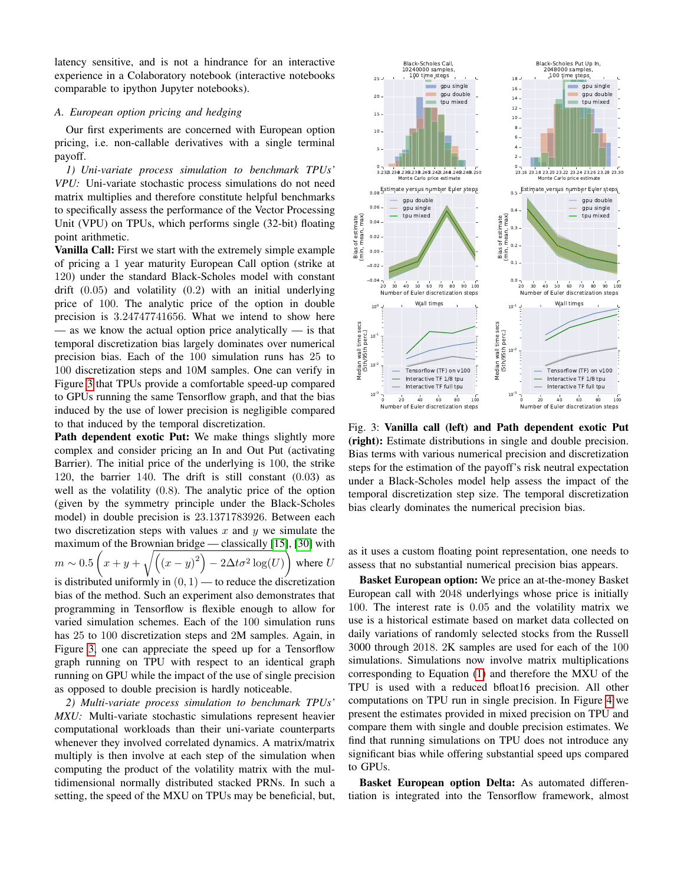latency sensitive, and is not a hindrance for an interactive experience in a Colaboratory notebook (interactive notebooks comparable to ipython Jupyter notebooks).

# *A. European option pricing and hedging*

Our first experiments are concerned with European option pricing, i.e. non-callable derivatives with a single terminal payoff.

*1) Uni-variate process simulation to benchmark TPUs' VPU:* Uni-variate stochastic process simulations do not need matrix multiplies and therefore constitute helpful benchmarks to specifically assess the performance of the Vector Processing Unit (VPU) on TPUs, which performs single (32-bit) floating point arithmetic.

Vanilla Call: First we start with the extremely simple example of pricing a 1 year maturity European Call option (strike at 120) under the standard Black-Scholes model with constant drift  $(0.05)$  and volatility  $(0.2)$  with an initial underlying price of 100. The analytic price of the option in double precision is 3.24747741656. What we intend to show here — as we know the actual option price analytically — is that temporal discretization bias largely dominates over numerical precision bias. Each of the 100 simulation runs has 25 to 100 discretization steps and 10M samples. One can verify in Figure [3](#page-5-0) that TPUs provide a comfortable speed-up compared to GPUs running the same Tensorflow graph, and that the bias induced by the use of lower precision is negligible compared to that induced by the temporal discretization.

Path dependent exotic Put: We make things slightly more complex and consider pricing an In and Out Put (activating Barrier). The initial price of the underlying is 100, the strike 120, the barrier 140. The drift is still constant (0.03) as well as the volatility (0.8). The analytic price of the option (given by the symmetry principle under the Black-Scholes model) in double precision is 23.1371783926. Between each two discretization steps with values  $x$  and  $y$  we simulate the maximum of the Brownian bridge — classically [\[15\]](#page-9-1), [\[30\]](#page-9-4) with  $m \sim 0.5\left(x+y+\sqrt{(x-y)^2\right)-2\Delta t\sigma^2\log(U)}$ where  $U$ is distributed uniformly in  $(0, 1)$  — to reduce the discretization

bias of the method. Such an experiment also demonstrates that programming in Tensorflow is flexible enough to allow for varied simulation schemes. Each of the 100 simulation runs has 25 to 100 discretization steps and 2M samples. Again, in Figure [3,](#page-5-0) one can appreciate the speed up for a Tensorflow graph running on TPU with respect to an identical graph running on GPU while the impact of the use of single precision as opposed to double precision is hardly noticeable.

<span id="page-5-1"></span>*2) Multi-variate process simulation to benchmark TPUs' MXU:* Multi-variate stochastic simulations represent heavier computational workloads than their uni-variate counterparts whenever they involved correlated dynamics. A matrix/matrix multiply is then involve at each step of the simulation when computing the product of the volatility matrix with the multidimensional normally distributed stacked PRNs. In such a setting, the speed of the MXU on TPUs may be beneficial, but,

<span id="page-5-0"></span>

Fig. 3: Vanilla call (left) and Path dependent exotic Put (right): Estimate distributions in single and double precision. Bias terms with various numerical precision and discretization steps for the estimation of the payoff's risk neutral expectation under a Black-Scholes model help assess the impact of the temporal discretization step size. The temporal discretization bias clearly dominates the numerical precision bias.

as it uses a custom floating point representation, one needs to assess that no substantial numerical precision bias appears.

Basket European option: We price an at-the-money Basket European call with 2048 underlyings whose price is initially 100. The interest rate is 0.05 and the volatility matrix we use is a historical estimate based on market data collected on daily variations of randomly selected stocks from the Russell 3000 through 2018. 2K samples are used for each of the 100 simulations. Simulations now involve matrix multiplications corresponding to Equation [\(1\)](#page-0-0) and therefore the MXU of the TPU is used with a reduced bfloat16 precision. All other computations on TPU run in single precision. In Figure [4](#page-6-0) we present the estimates provided in mixed precision on TPU and compare them with single and double precision estimates. We find that running simulations on TPU does not introduce any significant bias while offering substantial speed ups compared to GPUs.

Basket European option Delta: As automated differentiation is integrated into the Tensorflow framework, almost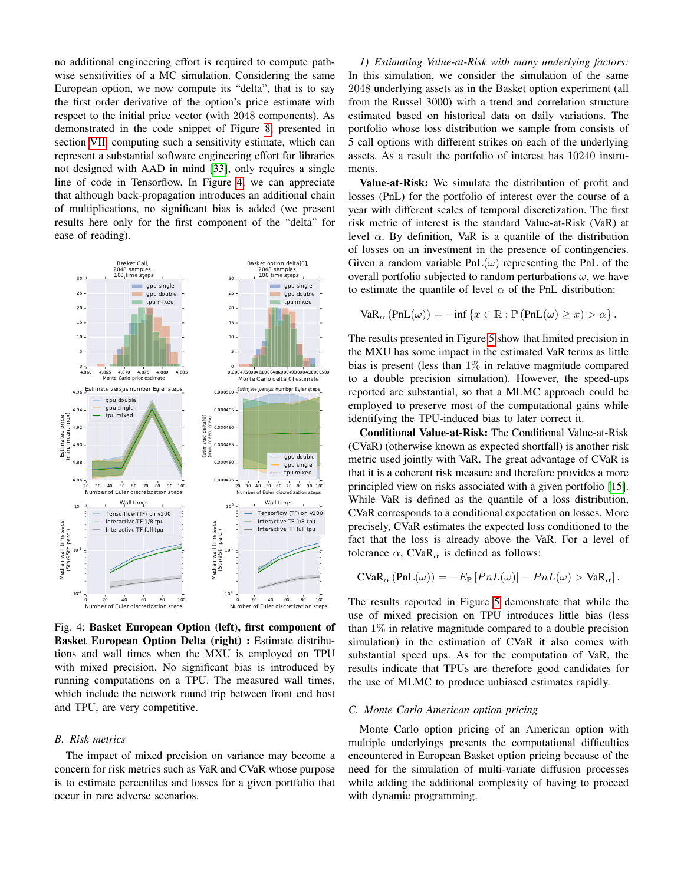no additional engineering effort is required to compute pathwise sensitivities of a MC simulation. Considering the same European option, we now compute its "delta", that is to say the first order derivative of the option's price estimate with respect to the initial price vector (with 2048 components). As demonstrated in the code snippet of Figure [8,](#page-8-0) presented in section [VII,](#page-8-1) computing such a sensitivity estimate, which can represent a substantial software engineering effort for libraries not designed with AAD in mind [\[33\]](#page-9-6), only requires a single line of code in Tensorflow. In Figure [4,](#page-6-0) we can appreciate that although back-propagation introduces an additional chain of multiplications, no significant bias is added (we present results here only for the first component of the "delta" for ease of reading).

<span id="page-6-0"></span>

Fig. 4: Basket European Option (left), first component of Basket European Option Delta (right) : Estimate distributions and wall times when the MXU is employed on TPU with mixed precision. No significant bias is introduced by running computations on a TPU. The measured wall times, which include the network round trip between front end host and TPU, are very competitive.

## *B. Risk metrics*

The impact of mixed precision on variance may become a concern for risk metrics such as VaR and CVaR whose purpose is to estimate percentiles and losses for a given portfolio that occur in rare adverse scenarios.

<span id="page-6-1"></span>*1) Estimating Value-at-Risk with many underlying factors:* In this simulation, we consider the simulation of the same 2048 underlying assets as in the Basket option experiment (all from the Russel 3000) with a trend and correlation structure estimated based on historical data on daily variations. The portfolio whose loss distribution we sample from consists of 5 call options with different strikes on each of the underlying assets. As a result the portfolio of interest has 10240 instruments.

Value-at-Risk: We simulate the distribution of profit and losses (PnL) for the portfolio of interest over the course of a year with different scales of temporal discretization. The first risk metric of interest is the standard Value-at-Risk (VaR) at level  $\alpha$ . By definition, VaR is a quantile of the distribution of losses on an investment in the presence of contingencies. Given a random variable  $PnL(\omega)$  representing the PnL of the overall portfolio subjected to random perturbations  $\omega$ , we have to estimate the quantile of level  $\alpha$  of the PnL distribution:

$$
VaR_{\alpha}(PnL(\omega)) = -\inf \{x \in \mathbb{R} : \mathbb{P}(PnL(\omega) \geq x) > \alpha \}.
$$

The results presented in Figure [5](#page-7-1) show that limited precision in the MXU has some impact in the estimated VaR terms as little bias is present (less than  $1\%$  in relative magnitude compared to a double precision simulation). However, the speed-ups reported are substantial, so that a MLMC approach could be employed to preserve most of the computational gains while identifying the TPU-induced bias to later correct it.

Conditional Value-at-Risk: The Conditional Value-at-Risk (CVaR) (otherwise known as expected shortfall) is another risk metric used jointly with VaR. The great advantage of CVaR is that it is a coherent risk measure and therefore provides a more principled view on risks associated with a given portfolio [\[15\]](#page-9-1). While VaR is defined as the quantile of a loss distribution, CVaR corresponds to a conditional expectation on losses. More precisely, CVaR estimates the expected loss conditioned to the fact that the loss is already above the VaR. For a level of tolerance  $\alpha$ , CVaR<sub> $\alpha$ </sub> is defined as follows:

$$
\text{CVaR}_{\alpha}(\text{PnL}(\omega)) = -E_{\mathbb{P}}[PnL(\omega)] - PnL(\omega) > \text{VaR}_{\alpha}].
$$

The results reported in Figure [5](#page-7-1) demonstrate that while the use of mixed precision on TPU introduces little bias (less than  $1\%$  in relative magnitude compared to a double precision simulation) in the estimation of CVaR it also comes with substantial speed ups. As for the computation of VaR, the results indicate that TPUs are therefore good candidates for the use of MLMC to produce unbiased estimates rapidly.

## *C. Monte Carlo American option pricing*

Monte Carlo option pricing of an American option with multiple underlyings presents the computational difficulties encountered in European Basket option pricing because of the need for the simulation of multi-variate diffusion processes while adding the additional complexity of having to proceed with dynamic programming.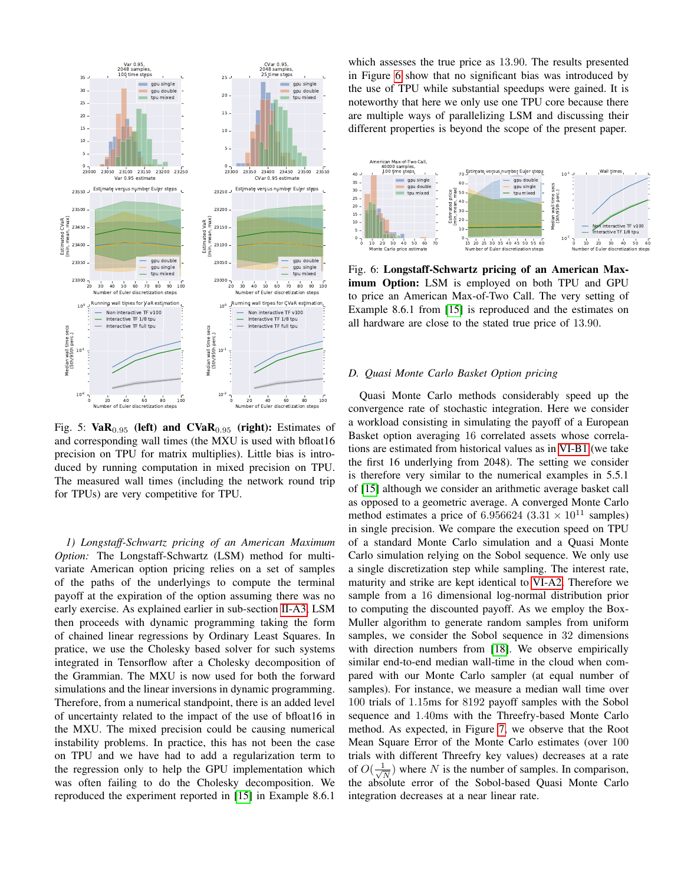<span id="page-7-1"></span>

Fig. 5:  $VaR_{0.95}$  (left) and  $CVaR_{0.95}$  (right): Estimates of and corresponding wall times (the MXU is used with bfloat16 precision on TPU for matrix multiplies). Little bias is introduced by running computation in mixed precision on TPU. The measured wall times (including the network round trip for TPUs) are very competitive for TPU.

*1) Longstaff-Schwartz pricing of an American Maximum Option:* The Longstaff-Schwartz (LSM) method for multivariate American option pricing relies on a set of samples of the paths of the underlyings to compute the terminal payoff at the expiration of the option assuming there was no early exercise. As explained earlier in sub-section [II-A3,](#page-2-0) LSM then proceeds with dynamic programming taking the form of chained linear regressions by Ordinary Least Squares. In pratice, we use the Cholesky based solver for such systems integrated in Tensorflow after a Cholesky decomposition of the Grammian. The MXU is now used for both the forward simulations and the linear inversions in dynamic programming. Therefore, from a numerical standpoint, there is an added level of uncertainty related to the impact of the use of bfloat16 in the MXU. The mixed precision could be causing numerical instability problems. In practice, this has not been the case on TPU and we have had to add a regularization term to the regression only to help the GPU implementation which was often failing to do the Cholesky decomposition. We reproduced the experiment reported in [\[15\]](#page-9-1) in Example 8.6.1

which assesses the true price as 13.90. The results presented in Figure [6](#page-7-2) show that no significant bias was introduced by the use of TPU while substantial speedups were gained. It is noteworthy that here we only use one TPU core because there are multiple ways of parallelizing LSM and discussing their different properties is beyond the scope of the present paper.

<span id="page-7-2"></span>

Fig. 6: Longstaff-Schwartz pricing of an American Maximum Option: LSM is employed on both TPU and GPU to price an American Max-of-Two Call. The very setting of Example 8.6.1 from [\[15\]](#page-9-1) is reproduced and the estimates on all hardware are close to the stated true price of 13.90.

## <span id="page-7-0"></span>*D. Quasi Monte Carlo Basket Option pricing*

Quasi Monte Carlo methods considerably speed up the convergence rate of stochastic integration. Here we consider a workload consisting in simulating the payoff of a European Basket option averaging 16 correlated assets whose correlations are estimated from historical values as in [VI-B1](#page-6-1) (we take the first 16 underlying from 2048). The setting we consider is therefore very similar to the numerical examples in 5.5.1 of [\[15\]](#page-9-1) although we consider an arithmetic average basket call as opposed to a geometric average. A converged Monte Carlo method estimates a price of 6.956624 (3.31  $\times$  10<sup>11</sup> samples) in single precision. We compare the execution speed on TPU of a standard Monte Carlo simulation and a Quasi Monte Carlo simulation relying on the Sobol sequence. We only use a single discretization step while sampling. The interest rate, maturity and strike are kept identical to [VI-A2.](#page-5-1) Therefore we sample from a 16 dimensional log-normal distribution prior to computing the discounted payoff. As we employ the Box-Muller algorithm to generate random samples from uniform samples, we consider the Sobol sequence in 32 dimensions with direction numbers from [\[18\]](#page-9-2). We observe empirically similar end-to-end median wall-time in the cloud when compared with our Monte Carlo sampler (at equal number of samples). For instance, we measure a median wall time over 100 trials of 1.15ms for 8192 payoff samples with the Sobol sequence and 1.40ms with the Threefry-based Monte Carlo method. As expected, in Figure [7,](#page-8-2) we observe that the Root Mean Square Error of the Monte Carlo estimates (over 100 trials with different Threefry key values) decreases at a rate of  $O(\frac{1}{\sqrt{2}})$  $\frac{1}{N}$ ) where N is the number of samples. In comparison, the absolute error of the Sobol-based Quasi Monte Carlo integration decreases at a near linear rate.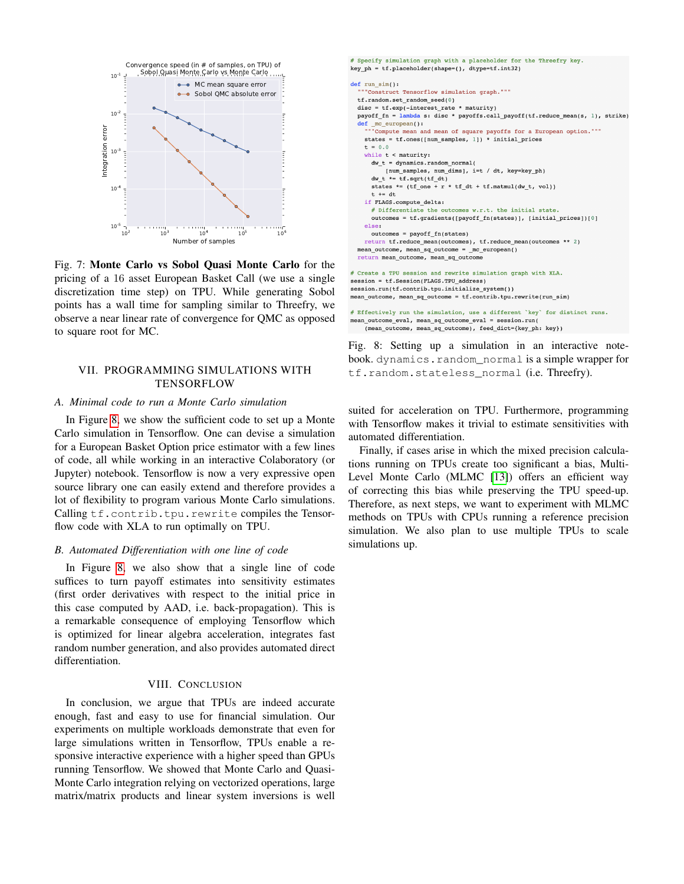<span id="page-8-2"></span>

Fig. 7: Monte Carlo vs Sobol Quasi Monte Carlo for the pricing of a 16 asset European Basket Call (we use a single discretization time step) on TPU. While generating Sobol points has a wall time for sampling similar to Threefry, we observe a near linear rate of convergence for QMC as opposed to square root for MC.

# <span id="page-8-1"></span>VII. PROGRAMMING SIMULATIONS WITH **TENSORFLOW**

## *A. Minimal code to run a Monte Carlo simulation*

In Figure [8,](#page-8-0) we show the sufficient code to set up a Monte Carlo simulation in Tensorflow. One can devise a simulation for a European Basket Option price estimator with a few lines of code, all while working in an interactive Colaboratory (or Jupyter) notebook. Tensorflow is now a very expressive open source library one can easily extend and therefore provides a lot of flexibility to program various Monte Carlo simulations. Calling tf.contrib.tpu.rewrite compiles the Tensorflow code with XLA to run optimally on TPU.

#### *B. Automated Differentiation with one line of code*

In Figure [8,](#page-8-0) we also show that a single line of code suffices to turn payoff estimates into sensitivity estimates (first order derivatives with respect to the initial price in this case computed by AAD, i.e. back-propagation). This is a remarkable consequence of employing Tensorflow which is optimized for linear algebra acceleration, integrates fast random number generation, and also provides automated direct differentiation.

# VIII. CONCLUSION

In conclusion, we argue that TPUs are indeed accurate enough, fast and easy to use for financial simulation. Our experiments on multiple workloads demonstrate that even for large simulations written in Tensorflow, TPUs enable a responsive interactive experience with a higher speed than GPUs running Tensorflow. We showed that Monte Carlo and Quasi-Monte Carlo integration relying on vectorized operations, large matrix/matrix products and linear system inversions is well

```
# Specify simulation graph with a placeholder for the Threefry key.
key ph = tf.placeholder(shape=(), dtype=tf.int32)
def run sim():"Construct Tensorflow simulation graph."""
  tf.random.set_random_seed(0)
  disc = tf.exp(-interest rate * maturity)payoff fn = lambda s: disc * payoffs.call payoff(tf.reduce mean(s, 1), strike)
  def mc_european():<br>
""Compute mean and mean of square payoffs for a European option.""<br>
states = tf.ones([num_samples, 1]) * initial prices
     t = 0.0while t < maturity:<br>dw_t = dynamics.random_normal(
           [num_samples, num_dims], i=t / dt, key=key_ph)
       dw_t * = tf.sqrt(tf_dt)states *= (tf_{one} + r * tf_{dt} + tf.matmul(dw_t, vol))t \neq dt\mathtt{if} FLAGS.compute_delta:
       # Differentiate the outcomes w.r.t. the initial state.
       outcomes = tf.gradients([payoff_fn(states)], [initial_prices])[0]
    else:
      outcomes = payoff fn(states)
     return tf.reduce_mean(outcomes), tf.reduce_mean(outcomes ** 2)
  \begin{minipage}{.4\linewidth} mean\_outcome\textit{, mean\_sq\_outcome = \textit{_mc\_european(}} \end{minipage}return mean_outcome, mean_sq_outcome
# Create a TPU session and rewrite simulation graph with XLA.
session = tf.Session(FLAGS.TPU address)
\mathtt{session.run(tf.contrib.tpu.initialize\_system())}\verb|mean_outcome|, \verb|mean_sq_outcome = tf.contrib.tpu.rewrite(run_sim)# Effectively run the simulation, use a different 'key' for distinct runs.
```
mean\_outcome\_eval, mean\_sq\_outcome\_eval = session.run (mean\_outcome, mean\_sq\_outcome), feed\_dict={key\_ph: key})

Fig. 8: Setting up a simulation in an interactive notebook. dynamics.random\_normal is a simple wrapper for tf.random.stateless\_normal (i.e. Threefry).

suited for acceleration on TPU. Furthermore, programming with Tensorflow makes it trivial to estimate sensitivities with automated differentiation.

Finally, if cases arise in which the mixed precision calculations running on TPUs create too significant a bias, Multi-Level Monte Carlo (MLMC [\[13\]](#page-9-36)) offers an efficient way of correcting this bias while preserving the TPU speed-up. Therefore, as next steps, we want to experiment with MLMC methods on TPUs with CPUs running a reference precision simulation. We also plan to use multiple TPUs to scale simulations up.